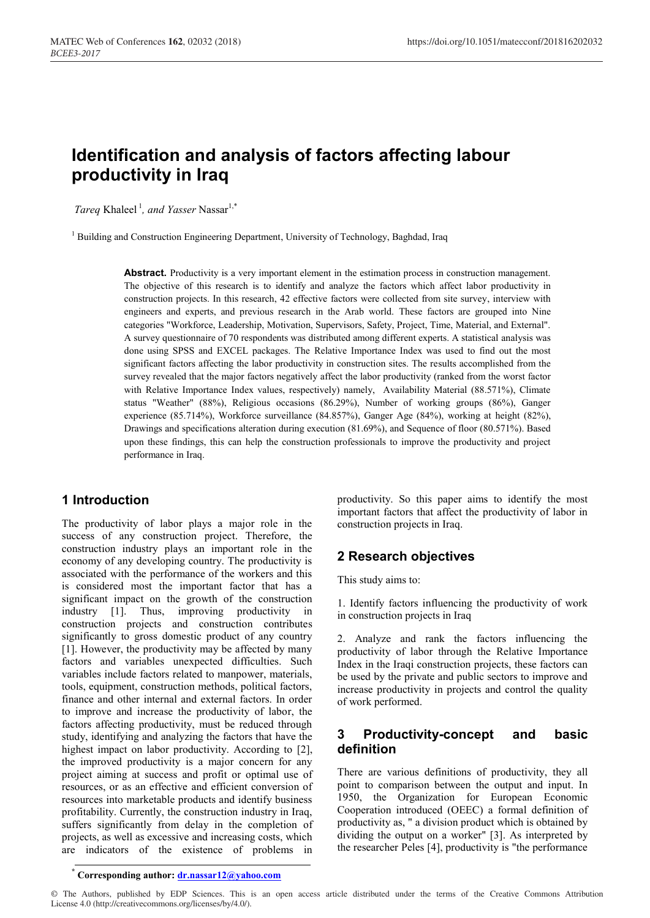# **Identification and analysis of factors affecting labour productivity in Iraq**

*Tareq* Khaleel<sup>1</sup>, and *Yasser* Nassar<sup>1,\*</sup>

<sup>1</sup> Building and Construction Engineering Department, University of Technology, Baghdad, Iraq

Abstract. Productivity is a very important element in the estimation process in construction management. The objective of this research is to identify and analyze the factors which affect labor productivity in construction projects. In this research, 42 effective factors were collected from site survey, interview with engineers and experts, and previous research in the Arab world. These factors are grouped into Nine categories "Workforce, Leadership, Motivation, Supervisors, Safety, Project, Time, Material, and External". A survey questionnaire of 70 respondents was distributed among different experts. A statistical analysis was done using SPSS and EXCEL packages. The Relative Importance Index was used to find out the most significant factors affecting the labor productivity in construction sites. The results accomplished from the survey revealed that the major factors negatively affect the labor productivity (ranked from the worst factor with Relative Importance Index values, respectively) namely, Availability Material (88.571%), Climate status "Weather" (88%), Religious occasions (86.29%), Number of working groups (86%), Ganger experience (85.714%), Workforce surveillance (84.857%), Ganger Age (84%), working at height (82%), Drawings and specifications alteration during execution (81.69%), and Sequence of floor (80.571%). Based upon these findings, this can help the construction professionals to improve the productivity and project performance in Iraq.

### **1 Introduction**

The productivity of labor plays a major role in the success of any construction project. Therefore, the construction industry plays an important role in the economy of any developing country. The productivity is associated with the performance of the workers and this is considered most the important factor that has a significant impact on the growth of the construction industry [1]. Thus, improving productivity in construction projects and construction contributes significantly to gross domestic product of any country [1]. However, the productivity may be affected by many factors and variables unexpected difficulties. Such variables include factors related to manpower, materials, tools, equipment, construction methods, political factors, finance and other internal and external factors. In order to improve and increase the productivity of labor, the factors affecting productivity, must be reduced through study, identifying and analyzing the factors that have the highest impact on labor productivity. According to [2], the improved productivity is a major concern for any project aiming at success and profit or optimal use of resources, or as an effective and efficient conversion of resources into marketable products and identify business profitability. Currently, the construction industry in Iraq, suffers significantly from delay in the completion of projects, as well as excessive and increasing costs, which are indicators of the existence of problems in

productivity. So this paper aims to identify the most important factors that affect the productivity of labor in construction projects in Iraq.

### **2 Research objectives**

This study aims to:

1. Identify factors influencing the productivity of work in construction projects in Iraq

2. Analyze and rank the factors influencing the productivity of labor through the Relative Importance Index in the Iraqi construction projects, these factors can be used by the private and public sectors to improve and increase productivity in projects and control the quality of work performed.

## **3 Productivity-concept and basic definition**

There are various definitions of productivity, they all point to comparison between the output and input. In 1950, the Organization for European Economic Cooperation introduced (OEEC) a formal definition of productivity as, " a division product which is obtained by dividing the output on a worker'' [3]. As interpreted by the researcher Peles [4], productivity is "the performance

**\* Corresponding author: dr.nassar12@yahoo.com**

© The Authors, published by EDP Sciences. This is an open access article distributed under the terms of the Creative Commons Attribution License 4.0 (http://creativecommons.org/licenses/by/4.0/).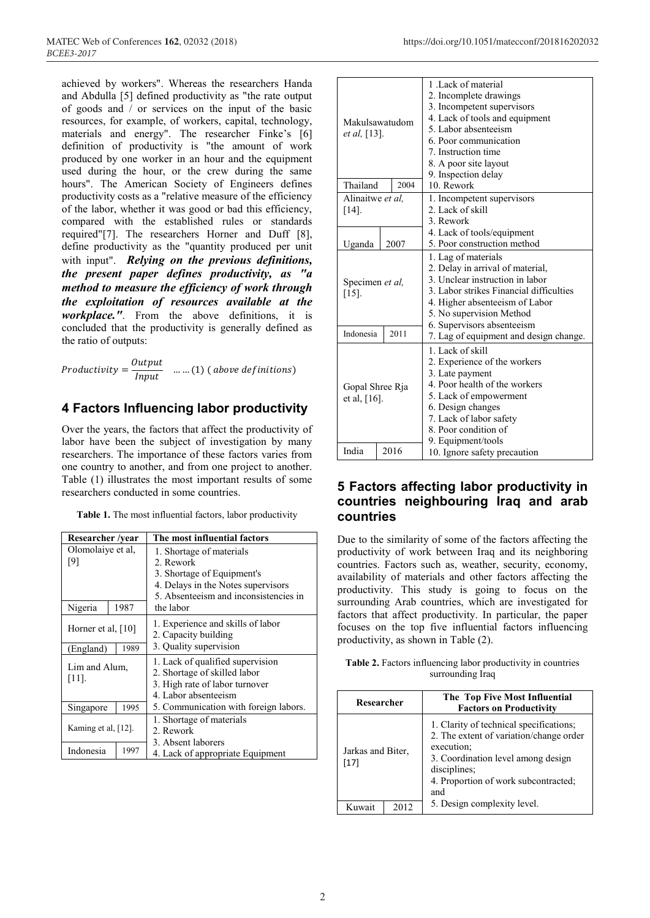achieved by workers". Whereas the researchers Handa and Abdulla [5] defined productivity as "the rate output of goods and / or services on the input of the basic resources, for example, of workers, capital, technology, materials and energy". The researcher Finke's [6] definition of productivity is "the amount of work produced by one worker in an hour and the equipment used during the hour, or the crew during the same hours". The American Society of Engineers defines productivity costs as a "relative measure of the efficiency of the labor, whether it was good or bad this efficiency, compared with the established rules or standards required"[7]. The researchers Horner and Duff [8], define productivity as the "quantity produced per unit with input". *Relying on the previous definitions, the present paper defines productivity, as "a method to measure the efficiency of work through the exploitation of resources available at the workplace."*. From the above definitions, it is concluded that the productivity is generally defined as the ratio of outputs:

Productivity =  $\frac{1}{Input}$  ......(1) (above definitions)

## **4 Factors Influencing labor productivity**

Over the years, the factors that affect the productivity of labor have been the subject of investigation by many researchers. The importance of these factors varies from one country to another, and from one project to another. Table (1) illustrates the most important results of some researchers conducted in some countries.

**Table 1.** The most influential factors, labor productivity

| Researcher /year          |      | The most influential factors                                                                                               |  |
|---------------------------|------|----------------------------------------------------------------------------------------------------------------------------|--|
| Olomolaiye et al,<br>[9]  |      | 1. Shortage of materials<br>2. Rework                                                                                      |  |
|                           |      | 3. Shortage of Equipment's<br>4. Delays in the Notes supervisors<br>5. Absenteeism and inconsistencies in                  |  |
| Nigeria                   | 1987 | the labor                                                                                                                  |  |
| Horner et al, $[10]$      |      | 1. Experience and skills of labor<br>2. Capacity building                                                                  |  |
| 1989<br>(England)         |      | 3. Quality supervision                                                                                                     |  |
| Lim and Alum,<br>$[11]$ . |      | 1. Lack of qualified supervision<br>2. Shortage of skilled labor<br>3. High rate of labor turnover<br>4. Labor absenteeism |  |
| 1995<br>Singapore         |      | 5. Communication with foreign labors.                                                                                      |  |
| Kaming et al, $[12]$ .    |      | 1. Shortage of materials<br>2. Rework                                                                                      |  |
| Indonesia<br>1997         |      | 3. Absent laborers<br>4. Lack of appropriate Equipment                                                                     |  |

| Makulsawatudom<br><i>et al.</i> [13]. |      | 1. Lack of material<br>2. Incomplete drawings<br>3. Incompetent supervisors<br>4. Lack of tools and equipment<br>5. Labor absenteeism<br>6. Poor communication<br>7. Instruction time<br>8. A poor site layout<br>9. Inspection delay<br>10. Rework |
|---------------------------------------|------|-----------------------------------------------------------------------------------------------------------------------------------------------------------------------------------------------------------------------------------------------------|
| Thailand                              | 2004 |                                                                                                                                                                                                                                                     |
| Alinaitwe et al.<br>$[14]$ .          |      | 1. Incompetent supervisors<br>2. Lack of skill<br>3. Rework                                                                                                                                                                                         |
| Uganda                                | 2007 | 4. Lack of tools/equipment<br>5. Poor construction method                                                                                                                                                                                           |
| Specimen et al,<br>$[15]$ .           |      | 1. Lag of materials<br>2. Delay in arrival of material,<br>3. Unclear instruction in labor<br>3. Labor strikes Financial difficulties<br>4. Higher absenteeism of Labor<br>5. No supervision Method                                                 |
| Indonesia                             | 2011 | 6. Supervisors absenteeism<br>7. Lag of equipment and design change.                                                                                                                                                                                |
| Gopal Shree Rja<br>et al, $[16]$ .    |      | 1. Lack of skill<br>2. Experience of the workers<br>3. Late payment<br>4. Poor health of the workers<br>5. Lack of empowerment<br>6. Design changes<br>7. Lack of labor safety<br>8. Poor condition of<br>9. Equipment/tools                        |
| India                                 | 2016 | 10. Ignore safety precaution                                                                                                                                                                                                                        |

## **5 Factors affecting labor productivity in countries neighbouring Iraq and arab countries**

Due to the similarity of some of the factors affecting the productivity of work between Iraq and its neighboring countries. Factors such as, weather, security, economy, availability of materials and other factors affecting the productivity. This study is going to focus on the surrounding Arab countries, which are investigated for factors that affect productivity. In particular, the paper focuses on the top five influential factors influencing productivity, as shown in Table (2).

**Table 2.** Factors influencing labor productivity in countries surrounding Iraq

| Researcher                  |  | The Top Five Most Influential<br><b>Factors on Productivity</b>                                                                                                                                       |  |
|-----------------------------|--|-------------------------------------------------------------------------------------------------------------------------------------------------------------------------------------------------------|--|
| Jarkas and Biter,<br>$[17]$ |  | 1. Clarity of technical specifications;<br>2. The extent of variation/change order<br>execution;<br>3. Coordination level among design<br>disciplines;<br>4. Proportion of work subcontracted;<br>and |  |
| Kuwait                      |  | 5. Design complexity level.                                                                                                                                                                           |  |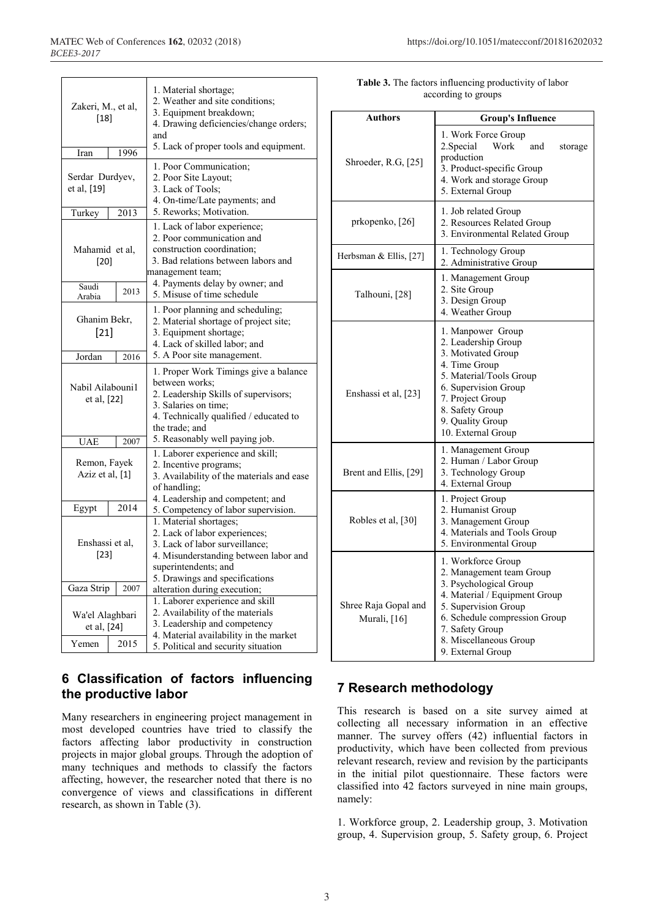Т

 $\overline{\Gamma}$ 

| Zakeri, M., et al,<br>[18]      |      | 1. Material shortage;<br>2. Weather and site conditions;<br>3. Equipment breakdown;<br>4. Drawing deficiencies/change orders;<br>and                                                         |  |  |
|---------------------------------|------|----------------------------------------------------------------------------------------------------------------------------------------------------------------------------------------------|--|--|
| Iran                            | 1996 | 5. Lack of proper tools and equipment.                                                                                                                                                       |  |  |
| Serdar Durdyev,<br>et al, [19]  |      | 1. Poor Communication;<br>2. Poor Site Layout;<br>3. Lack of Tools;<br>4. On-time/Late payments; and                                                                                         |  |  |
| Turkey                          | 2013 | 5. Reworks; Motivation.                                                                                                                                                                      |  |  |
| Mahamid et al,<br>[20]          |      | 1. Lack of labor experience;<br>2. Poor communication and<br>construction coordination;<br>3. Bad relations between labors and<br>management team;                                           |  |  |
| Saudi<br>Arabia                 | 2013 | 4. Payments delay by owner; and<br>5. Misuse of time schedule                                                                                                                                |  |  |
| Ghanim Bekr,<br>$[21]$          |      | 1. Poor planning and scheduling;<br>2. Material shortage of project site;<br>3. Equipment shortage;<br>4. Lack of skilled labor; and                                                         |  |  |
| Jordan                          | 2016 | 5. A Poor site management.                                                                                                                                                                   |  |  |
| Nabil Ailabouni1<br>et al, [22] |      | 1. Proper Work Timings give a balance<br>between works;<br>2. Leadership Skills of supervisors;<br>3. Salaries on time:<br>4. Technically qualified / educated to<br>the trade; and          |  |  |
| <b>UAE</b>                      | 2007 | 5. Reasonably well paying job.                                                                                                                                                               |  |  |
| Remon, Fayek<br>Aziz et al, [1] |      | 1. Laborer experience and skill;<br>2. Incentive programs;<br>3. Availability of the materials and ease<br>of handling;<br>4. Leadership and competent; and                                  |  |  |
| Egypt                           | 2014 | 5. Competency of labor supervision.                                                                                                                                                          |  |  |
| Enshassi et al,<br>$[23]$       |      | 1. Material shortages;<br>2. Lack of labor experiences;<br>3. Lack of labor surveillance;<br>4. Misunderstanding between labor and<br>superintendents; and<br>5. Drawings and specifications |  |  |
| Gaza Strip<br>2007              |      | alteration during execution;                                                                                                                                                                 |  |  |
| Wa'el Alaghbari<br>et al, [24]  |      | 1. Laborer experience and skill<br>2. Availability of the materials<br>3. Leadership and competency<br>4. Material availability in the market                                                |  |  |
| Yemen                           | 2015 | 5. Political and security situation                                                                                                                                                          |  |  |

| <b>Table 3.</b> The factors influencing productivity of labor |  |
|---------------------------------------------------------------|--|

according to groups

 $\overline{\phantom{a}}$ 

| Authors                              |                                                                                                                                                                                                                                      |  |  |  |
|--------------------------------------|--------------------------------------------------------------------------------------------------------------------------------------------------------------------------------------------------------------------------------------|--|--|--|
|                                      | <b>Group's Influence</b>                                                                                                                                                                                                             |  |  |  |
| Shroeder, R.G, [25]                  | 1. Work Force Group<br>Work<br>2. Special<br>and<br>storage<br>production<br>3. Product-specific Group<br>4. Work and storage Group<br>5. External Group                                                                             |  |  |  |
| prkopenko, [26]                      | 1. Job related Group<br>2. Resources Related Group<br>3. Environmental Related Group                                                                                                                                                 |  |  |  |
| Herbsman & Ellis, [27]               | 1. Technology Group<br>2. Administrative Group                                                                                                                                                                                       |  |  |  |
| Talhouni, [28]                       | 1. Management Group<br>2. Site Group<br>3. Design Group<br>4. Weather Group                                                                                                                                                          |  |  |  |
| Enshassi et al, [23]                 | 1. Manpower Group<br>2. Leadership Group<br>3. Motivated Group<br>4. Time Group<br>5. Material/Tools Group<br>6. Supervision Group<br>7. Project Group<br>8. Safety Group<br>9. Quality Group<br>10. External Group                  |  |  |  |
| Brent and Ellis, [29]                | 1. Management Group<br>2. Human / Labor Group<br>3. Technology Group<br>4. External Group                                                                                                                                            |  |  |  |
| Robles et al, [30]                   | 1. Project Group<br>2. Humanist Group<br>3. Management Group<br>4. Materials and Tools Group<br>5. Environmental Group                                                                                                               |  |  |  |
| Shree Raja Gopal and<br>Murali, [16] | 1. Workforce Group<br>2. Management team Group<br>3. Psychological Group<br>4. Material / Equipment Group<br>5. Supervision Group<br>6. Schedule compression Group<br>7. Safety Group<br>8. Miscellaneous Group<br>9. External Group |  |  |  |

## **6 Classification of factors influencing the productive labor**

Many researchers in engineering project management in most developed countries have tried to classify the factors affecting labor productivity in construction projects in major global groups. Through the adoption of many techniques and methods to classify the factors affecting, however, the researcher noted that there is no convergence of views and classifications in different research, as shown in Table (3).

## **7 Research methodology**

This research is based on a site survey aimed at collecting all necessary information in an effective manner. The survey offers (42) influential factors in productivity, which have been collected from previous relevant research, review and revision by the participants in the initial pilot questionnaire. These factors were classified into 42 factors surveyed in nine main groups, namely:

1. Workforce group, 2. Leadership group, 3. Motivation group, 4. Supervision group, 5. Safety group, 6. Project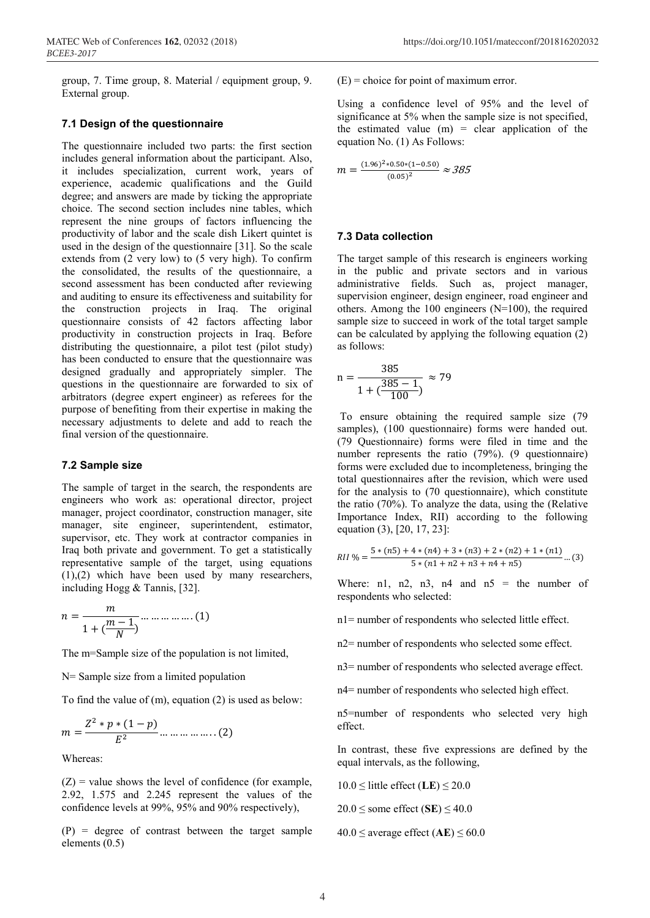group, 7. Time group, 8. Material / equipment group, 9. External group.

#### **7.1 Design of the questionnaire**

The questionnaire included two parts: the first section includes general information about the participant. Also, it includes specialization, current work, years of experience, academic qualifications and the Guild degree; and answers are made by ticking the appropriate choice. The second section includes nine tables, which represent the nine groups of factors influencing the productivity of labor and the scale dish Likert quintet is used in the design of the questionnaire [31]. So the scale extends from (2 very low) to (5 very high). To confirm the consolidated, the results of the questionnaire, a second assessment has been conducted after reviewing and auditing to ensure its effectiveness and suitability for the construction projects in Iraq. The original questionnaire consists of 42 factors affecting labor productivity in construction projects in Iraq. Before distributing the questionnaire, a pilot test (pilot study) has been conducted to ensure that the questionnaire was designed gradually and appropriately simpler. The questions in the questionnaire are forwarded to six of arbitrators (degree expert engineer) as referees for the purpose of benefiting from their expertise in making the necessary adjustments to delete and add to reach the final version of the questionnaire.

#### **7.2 Sample size**

The sample of target in the search, the respondents are engineers who work as: operational director, project manager, project coordinator, construction manager, site manager, site engineer, superintendent, estimator, supervisor, etc. They work at contractor companies in Iraq both private and government. To get a statistically representative sample of the target, using equations (1),(2) which have been used by many researchers, including Hogg & Tannis, [32].

$$
n = \frac{m}{1 + \left(\frac{m-1}{N}\right)} \dots \dots \dots \dots \dots \dots (1)
$$

The m=Sample size of the population is not limited,

N= Sample size from a limited population

To find the value of (m), equation (2) is used as below:

$$
m = \frac{Z^2 * p * (1 - p)}{E^2} \dots \dots \dots \dots \dots \dots (2)
$$

Whereas:

 $(Z)$  = value shows the level of confidence (for example, 2.92, 1.575 and 2.245 represent the values of the confidence levels at 99%, 95% and 90% respectively),

(P) = degree of contrast between the target sample elements (0.5)

 $(E)$  = choice for point of maximum error.

Using a confidence level of 95% and the level of significance at 5% when the sample size is not specified, the estimated value  $(m)$  = clear application of the equation No. (1) As Follows:

$$
m = \frac{(1.96)^2 * 0.50 * (1 - 0.50)}{(0.05)^2} \approx 385
$$

#### **7.3 Data collection**

The target sample of this research is engineers working in the public and private sectors and in various administrative fields. Such as, project manager, supervision engineer, design engineer, road engineer and others. Among the 100 engineers (N=100), the required sample size to succeed in work of the total target sample can be calculated by applying the following equation (2) as follows:

$$
n = \frac{385}{1 + (\frac{385 - 1}{100})} \approx 79
$$

To ensure obtaining the required sample size (79 samples), (100 questionnaire) forms were handed out. (79 Questionnaire) forms were filed in time and the number represents the ratio (79%). (9 questionnaire) forms were excluded due to incompleteness, bringing the total questionnaires after the revision, which were used for the analysis to (70 questionnaire), which constitute the ratio (70%). To analyze the data, using the (Relative Importance Index, RII) according to the following equation (3), [20, 17, 23]:

$$
RII\% = \frac{5*(n5) + 4*(n4) + 3*(n3) + 2*(n2) + 1*(n1)}{5*(n1 + n2 + n3 + n4 + n5)} \dots (3)
$$

Where: n1, n2, n3, n4 and  $n5 =$  the number of respondents who selected:

n1= number of respondents who selected little effect.

n2= number of respondents who selected some effect.

n3= number of respondents who selected average effect.

n4= number of respondents who selected high effect.

n5=number of respondents who selected very high effect.

In contrast, these five expressions are defined by the equal intervals, as the following,

 $10.0 \leq$  little effect (LE)  $\leq 20.0$ 

 $20.0 \le$  some effect (SE)  $\le$  40.0

 $40.0 \leq$  average effect (AE)  $\leq 60.0$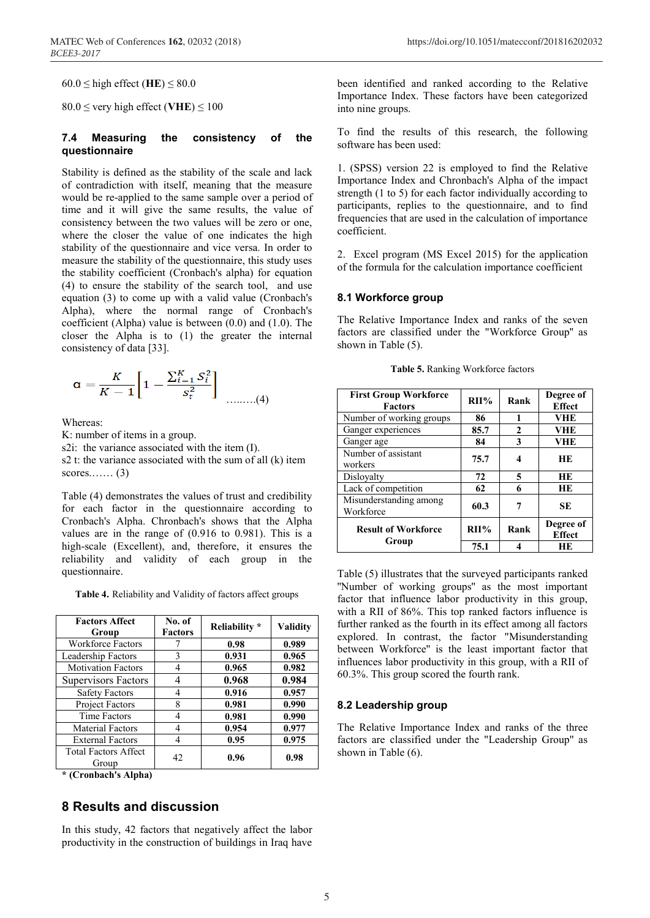$60.0 \leq$  high effect (HE)  $\leq 80.0$ 

 $80.0 \le$  very high effect (VHE)  $\leq 100$ 

#### **7.4 Measuring the consistency of the questionnaire**

Stability is defined as the stability of the scale and lack of contradiction with itself, meaning that the measure would be re-applied to the same sample over a period of time and it will give the same results, the value of consistency between the two values will be zero or one, where the closer the value of one indicates the high stability of the questionnaire and vice versa. In order to measure the stability of the questionnaire, this study uses the stability coefficient (Cronbach's alpha) for equation (4) to ensure the stability of the search tool, and use equation (3) to come up with a valid value (Cronbach's Alpha), where the normal range of Cronbach's coefficient (Alpha) value is between (0.0) and (1.0). The closer the Alpha is to (1) the greater the internal consistency of data [33].

$$
\alpha = \frac{K}{K-1} \left[ 1 - \frac{\sum_{i=1}^{K} S_i^2}{s_t^2} \right] \dots \dots (4)
$$

Whereas:

K: number of items in a group.

s2i: the variance associated with the item (I).

s2 t: the variance associated with the sum of all (k) item scores....... $(3)$ 

Table (4) demonstrates the values of trust and credibility for each factor in the questionnaire according to Cronbach's Alpha. Chronbach's shows that the Alpha values are in the range of (0.916 to 0.981). This is a high-scale (Excellent), and, therefore, it ensures the reliability and validity of each group in the questionnaire.

**Table 4.** Reliability and Validity of factors affect groups

| <b>Factors Affect</b><br>Group | No. of<br><b>Factors</b> | Reliability * | <b>Validity</b> |  |
|--------------------------------|--------------------------|---------------|-----------------|--|
| <b>Workforce Factors</b>       |                          | 0.98          | 0.989           |  |
| Leadership Factors             | $\mathcal{E}$            | 0.931         | 0.965           |  |
| <b>Motivation Factors</b>      | 4                        | 0.965         | 0.982           |  |
| <b>Supervisors Factors</b>     |                          | 0.968         | 0.984           |  |
| <b>Safety Factors</b>          | 4                        | 0.916         | 0.957           |  |
| <b>Project Factors</b>         | 8                        | 0.981         | 0.990           |  |
| <b>Time Factors</b>            | 4                        | 0.981         | 0.990           |  |
| <b>Material Factors</b>        | 4                        | 0.954         | 0.977           |  |
| <b>External Factors</b>        | 4                        | 0.95          | 0.975           |  |
| <b>Total Factors Affect</b>    | 42                       | 0.96          | 0.98            |  |
| Group                          |                          |               |                 |  |

**\* (Cronbach's Alpha)**

### **8 Results and discussion**

In this study, 42 factors that negatively affect the labor productivity in the construction of buildings in Iraq have been identified and ranked according to the Relative Importance Index. These factors have been categorized into nine groups.

To find the results of this research, the following software has been used:

1. (SPSS) version 22 is employed to find the Relative Importance Index and Chronbach's Alpha of the impact strength (1 to 5) for each factor individually according to participants, replies to the questionnaire, and to find frequencies that are used in the calculation of importance coefficient.

2. Excel program (MS Excel 2015) for the application of the formula for the calculation importance coefficient

#### **8.1 Workforce group**

The Relative Importance Index and ranks of the seven factors are classified under the "Workforce Group'' as shown in Table (5).

| <b>First Group Workforce</b><br><b>Factors</b> | $RII\%$ | Rank           | Degree of<br><b>Effect</b> |
|------------------------------------------------|---------|----------------|----------------------------|
| Number of working groups                       | 86      | 1              | VHE                        |
| Ganger experiences                             | 85.7    | $\mathfrak{D}$ | <b>VHE</b>                 |
| Ganger age                                     | 84      | 3              | VHE                        |
| Number of assistant<br>workers                 | 75.7    | 4              | HЕ                         |
| Dislovalty                                     | 72      | 5              | HЕ                         |
| Lack of competition                            | 62      | 6              | HЕ                         |
| Misunderstanding among<br>Workforce            | 60.3    | 7              | <b>SE</b>                  |
| <b>Result of Workforce</b>                     | $RII\%$ | Rank           | Degree of<br><b>Effect</b> |
| Group                                          | 75.1    |                | HЕ                         |

**Table 5.** Ranking Workforce factors

Table (5) illustrates that the surveyed participants ranked ''Number of working groups'' as the most important factor that influence labor productivity in this group, with a RII of 86%. This top ranked factors influence is further ranked as the fourth in its effect among all factors explored. In contrast, the factor "Misunderstanding between Workforce'' is the least important factor that influences labor productivity in this group, with a RII of 60.3%. This group scored the fourth rank.

#### **8.2 Leadership group**

The Relative Importance Index and ranks of the three factors are classified under the "Leadership Group'' as shown in Table (6).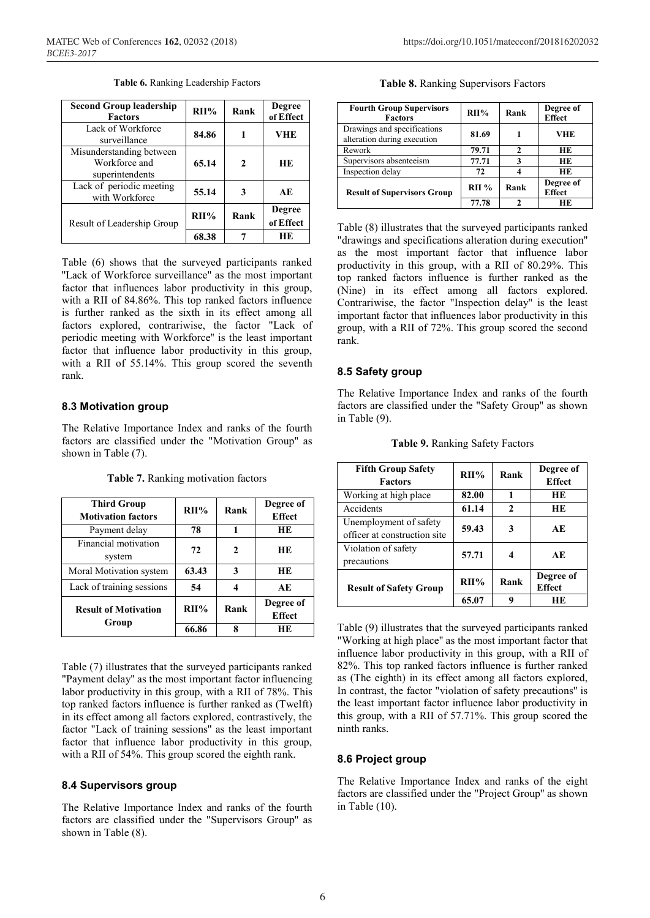| <b>Second Group leadership</b><br><b>Factors</b>             | $RII\%$ | Rank | <b>Degree</b><br>of Effect |
|--------------------------------------------------------------|---------|------|----------------------------|
| Lack of Workforce<br>surveillance                            | 84.86   |      | VHE                        |
| Misunderstanding between<br>Workforce and<br>superintendents | 65.14   | 2    | <b>HE</b>                  |
| Lack of periodic meeting<br>with Workforce                   | 55.14   | 3    | AE                         |
| Result of Leadership Group                                   | $RII\%$ | Rank | <b>Degree</b><br>of Effect |
|                                                              | 68.38   |      | <b>HE</b>                  |

**Table 6.** Ranking Leadership Factors

Table (6) shows that the surveyed participants ranked "Lack of Workforce surveillance" as the most important factor that influences labor productivity in this group, with a RII of 84.86%. This top ranked factors influence is further ranked as the sixth in its effect among all factors explored, contrariwise, the factor "Lack of periodic meeting with Workforce'' is the least important factor that influence labor productivity in this group, with a RII of 55.14%. This group scored the seventh rank.

#### **8.3 Motivation group**

The Relative Importance Index and ranks of the fourth factors are classified under the "Motivation Group'' as shown in Table (7).

| Table 7. Ranking motivation factors |  |
|-------------------------------------|--|
|-------------------------------------|--|

| <b>Third Group</b><br><b>Motivation factors</b> | $RII\%$ | Rank | Degree of<br><b>Effect</b> |
|-------------------------------------------------|---------|------|----------------------------|
| Payment delay                                   | 78      | 1    | <b>HE</b>                  |
| Financial motivation<br>system                  | 72      | 2    | HЕ                         |
| Moral Motivation system                         | 63.43   | 3    | <b>HE</b>                  |
| Lack of training sessions                       | 54      |      | AE                         |
| <b>Result of Motivation</b><br>Group            | $RII\%$ | Rank | Degree of<br><b>Effect</b> |
|                                                 | 66.86   | 8    | <b>HE</b>                  |

Table (7) illustrates that the surveyed participants ranked "Payment delay'' as the most important factor influencing labor productivity in this group, with a RII of 78%. This top ranked factors influence is further ranked as (Twelft) in its effect among all factors explored, contrastively, the factor "Lack of training sessions'' as the least important factor that influence labor productivity in this group, with a RII of 54%. This group scored the eighth rank.

#### **8.4 Supervisors group**

The Relative Importance Index and ranks of the fourth factors are classified under the "Supervisors Group'' as shown in Table (8).

**Table 8.** Ranking Supervisors Factors

| <b>Fourth Group Supervisors</b><br><b>Factors</b>          | $RII\%$ | Rank | Degree of<br><b>Effect</b> |
|------------------------------------------------------------|---------|------|----------------------------|
| Drawings and specifications<br>alteration during execution | 81.69   |      | VHE                        |
| Rework                                                     | 79.71   | າ    | HЕ                         |
| Supervisors absenteeism                                    | 77.71   | 3    | HЕ                         |
| Inspection delay                                           | 72      |      | HЕ                         |
| <b>Result of Supervisors Group</b>                         | RII%    | Rank | Degree of<br><b>Effect</b> |
|                                                            | 77.78   |      | HE.                        |

Table (8) illustrates that the surveyed participants ranked "drawings and specifications alteration during execution'' as the most important factor that influence labor productivity in this group, with a RII of 80.29%. This top ranked factors influence is further ranked as the (Nine) in its effect among all factors explored. Contrariwise, the factor "Inspection delay'' is the least important factor that influences labor productivity in this group, with a RII of 72%. This group scored the second rank.

#### **8.5 Safety group**

The Relative Importance Index and ranks of the fourth factors are classified under the "Safety Group'' as shown in Table (9).

| <b>Fifth Group Safety</b><br><b>Factors</b>            | $RII\%$ | Rank         | Degree of<br><b>Effect</b> |
|--------------------------------------------------------|---------|--------------|----------------------------|
| Working at high place                                  | 82.00   |              | <b>HE</b>                  |
| Accidents                                              | 61.14   | $\mathbf{2}$ | HE                         |
| Unemployment of safety<br>officer at construction site | 59.43   | 3            | AE                         |
| Violation of safety<br>precautions                     | 57.71   | 4            | AE                         |
| <b>Result of Safety Group</b>                          | $RII\%$ | Rank         | Degree of<br><b>Effect</b> |
|                                                        | 65.07   | Q            | HЕ                         |

**Table 9.** Ranking Safety Factors

Table (9) illustrates that the surveyed participants ranked "Working at high place'' as the most important factor that influence labor productivity in this group, with a RII of 82%. This top ranked factors influence is further ranked as (The eighth) in its effect among all factors explored, In contrast, the factor "violation of safety precautions'' is the least important factor influence labor productivity in this group, with a RII of 57.71%. This group scored the ninth ranks.

#### **8.6 Project group**

The Relative Importance Index and ranks of the eight factors are classified under the "Project Group'' as shown in Table (10).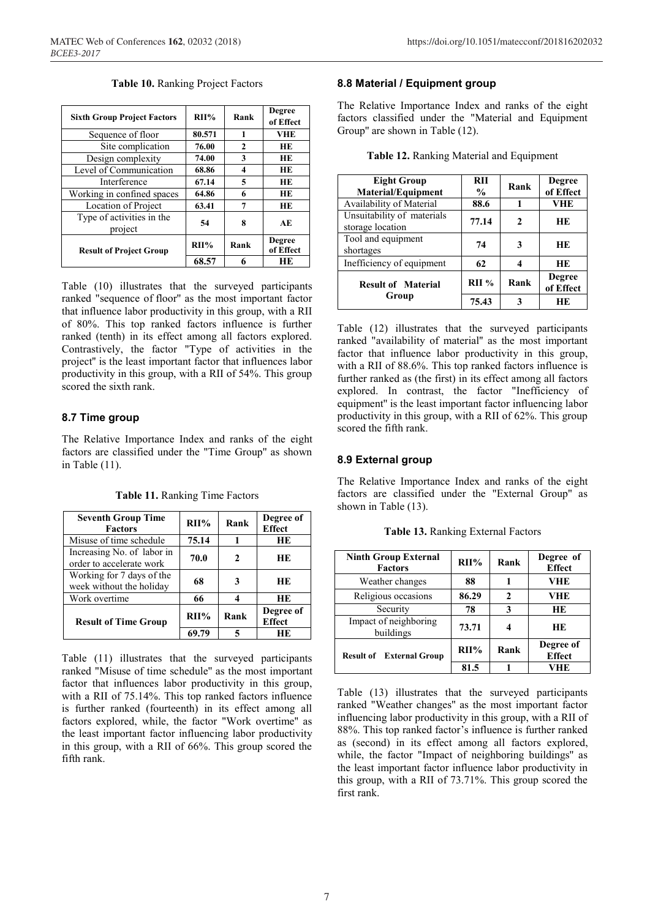|  |  | Table 10. Ranking Project Factors |  |  |
|--|--|-----------------------------------|--|--|
|--|--|-----------------------------------|--|--|

| <b>Sixth Group Project Factors</b>   | $RII\%$ | Rank         | <b>Degree</b><br>of Effect |
|--------------------------------------|---------|--------------|----------------------------|
| Sequence of floor                    | 80.571  | 1            | <b>VHE</b>                 |
| Site complication                    | 76.00   | $\mathbf{2}$ | <b>HE</b>                  |
| Design complexity                    | 74.00   | 3            | <b>HE</b>                  |
| Level of Communication               | 68.86   | 4            | <b>HE</b>                  |
| Interference                         | 67.14   | 5            | <b>HE</b>                  |
| Working in confined spaces           | 64.86   | 6            | <b>HE</b>                  |
| Location of Project                  | 63.41   | 7            | <b>HE</b>                  |
| Type of activities in the<br>project | 54      | 8            | AE                         |
| <b>Result of Project Group</b>       | $RII\%$ | Rank         | <b>Degree</b><br>of Effect |
|                                      | 68.57   | 6            | HЕ                         |

Table (10) illustrates that the surveyed participants ranked "sequence of floor'' as the most important factor that influence labor productivity in this group, with a RII of 80%. This top ranked factors influence is further ranked (tenth) in its effect among all factors explored. Contrastively, the factor "Type of activities in the project'' is the least important factor that influences labor productivity in this group, with a RII of 54%. This group scored the sixth rank.

#### **8.7 Time group**

The Relative Importance Index and ranks of the eight factors are classified under the "Time Group'' as shown in Table (11).

| <b>Seventh Group Time</b><br><b>Factors</b>            | $RII\%$ | Rank | Degree of<br><b>Effect</b> |
|--------------------------------------------------------|---------|------|----------------------------|
| Misuse of time schedule                                | 75.14   |      | <b>HE</b>                  |
| Increasing No. of labor in<br>order to accelerate work | 70.0    | 2    | HЕ                         |
| Working for 7 days of the<br>week without the holiday  | 68      | 3    | HЕ                         |
| Work overtime                                          | 66      | 4    | <b>HE</b>                  |
| <b>Result of Time Group</b>                            | $RII\%$ | Rank | Degree of<br><b>Effect</b> |
|                                                        | 69.79   | 5    | HЕ                         |

**Table 11.** Ranking Time Factors

Table (11) illustrates that the surveyed participants ranked "Misuse of time schedule'' as the most important factor that influences labor productivity in this group, with a RII of 75.14%. This top ranked factors influence is further ranked (fourteenth) in its effect among all factors explored, while, the factor "Work overtime'' as the least important factor influencing labor productivity in this group, with a RII of 66%. This group scored the fifth rank.

#### **8.8 Material / Equipment group**

The Relative Importance Index and ranks of the eight factors classified under the "Material and Equipment Group'' are shown in Table (12).

**Table 12.** Ranking Material and Equipment

| <b>Eight Group</b><br><b>Material/Equipment</b> | RH<br>$\frac{0}{0}$ | Rank | <b>Degree</b><br>of Effect |
|-------------------------------------------------|---------------------|------|----------------------------|
| Availability of Material                        | 88.6                | 1    | VHE                        |
| Unsuitability of materials<br>storage location  | 77.14               | 2    | HЕ                         |
| Tool and equipment<br>shortages                 | 74                  | 3    | <b>HE</b>                  |
| Inefficiency of equipment                       | 62                  | 4    | <b>HE</b>                  |
| <b>Result of Material</b>                       | RII%                | Rank | <b>Degree</b><br>of Effect |
| Group                                           | 75.43               | 3    | <b>HE</b>                  |

Table (12) illustrates that the surveyed participants ranked "availability of material'' as the most important factor that influence labor productivity in this group, with a RII of 88.6%. This top ranked factors influence is further ranked as (the first) in its effect among all factors explored. In contrast, the factor "Inefficiency of equipment'' is the least important factor influencing labor productivity in this group, with a RII of 62%. This group scored the fifth rank.

#### **8.9 External group**

The Relative Importance Index and ranks of the eight factors are classified under the "External Group'' as shown in Table (13).

**Table 13.** Ranking External Factors

| <b>Ninth Group External</b><br><b>Factors</b> | $RII\%$ | Rank | Degree of<br><b>Effect</b> |
|-----------------------------------------------|---------|------|----------------------------|
| Weather changes                               | 88      |      | <b>VHE</b>                 |
| Religious occasions                           | 86.29   | 2    | VHE                        |
| Security                                      | 78      | 3    | <b>HE</b>                  |
| Impact of neighboring<br>buildings            | 73.71   |      | <b>HE</b>                  |
| <b>Result of External Group</b>               | $RII\%$ | Rank | Degree of<br><b>Effect</b> |
|                                               | 81.5    |      | VHE                        |

Table (13) illustrates that the surveyed participants ranked "Weather changes'' as the most important factor influencing labor productivity in this group, with a RII of 88%. This top ranked factor's influence is further ranked as (second) in its effect among all factors explored, while, the factor "Impact of neighboring buildings'' as the least important factor influence labor productivity in this group, with a RII of 73.71%. This group scored the first rank.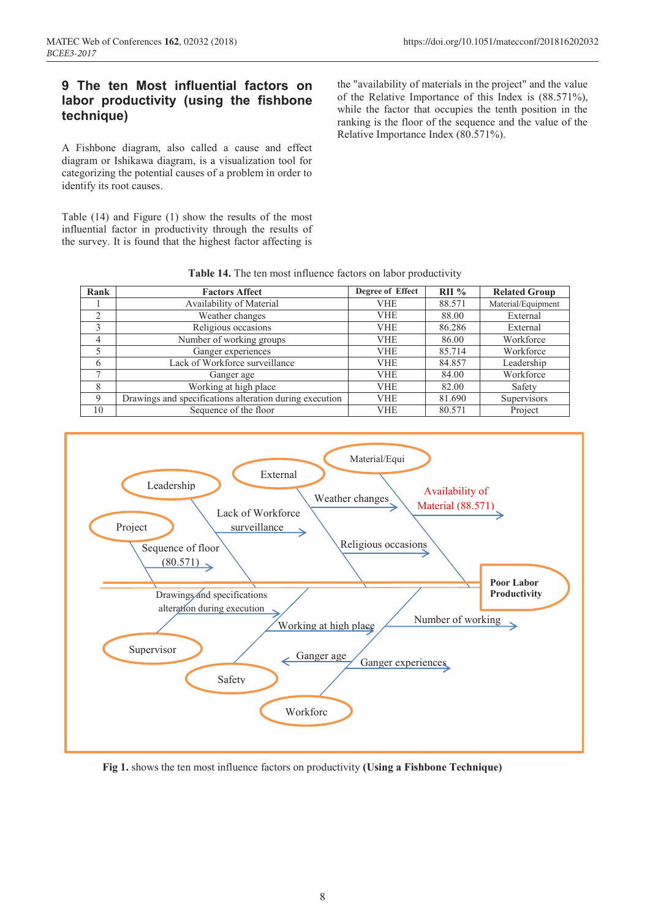## **9 The ten Most influential factors on labor productivity (using the fishbone technique)**

A Fishbone diagram, also called a cause and effect diagram or Ishikawa diagram, is a visualization tool for categorizing the potential causes of a problem in order to identify its root causes.

Table (14) and Figure (1) show the results of the most influential factor in productivity through the results of the survey. It is found that the highest factor affecting is the "availability of materials in the project" and the value of the Relative Importance of this Index is (88.571%), while the factor that occupies the tenth position in the ranking is the floor of the sequence and the value of the Relative Importance Index (80.571%).

| Rank           | <b>Factors Affect</b>                                   | Degree of Effect | $RII\%$ | <b>Related Group</b> |
|----------------|---------------------------------------------------------|------------------|---------|----------------------|
|                | Availability of Material                                | <b>VHE</b>       | 88.571  | Material/Equipment   |
| $\overline{2}$ | Weather changes                                         | <b>VHE</b>       | 88.00   | External             |
|                | Religious occasions                                     | <b>VHE</b>       | 86.286  | External             |
| 4              | Number of working groups                                | <b>VHE</b>       | 86.00   | Workforce            |
|                | Ganger experiences                                      | <b>VHE</b>       | 85.714  | Workforce            |
| 6              | Lack of Workforce surveillance                          | <b>VHE</b>       | 84.857  | Leadership           |
| ⇁              | Ganger age                                              | <b>VHE</b>       | 84.00   | Workforce            |
| 8              | Working at high place                                   | <b>VHE</b>       | 82.00   | Safety               |
| 9              | Drawings and specifications alteration during execution | <b>VHE</b>       | 81.690  | Supervisors          |
| 10             | Sequence of the floor                                   | <b>VHE</b>       | 80.571  | Project              |

**Table 14.** The ten most influence factors on labor productivity



**Fig 1.** shows the ten most influence factors on productivity **(Using a Fishbone Technique)**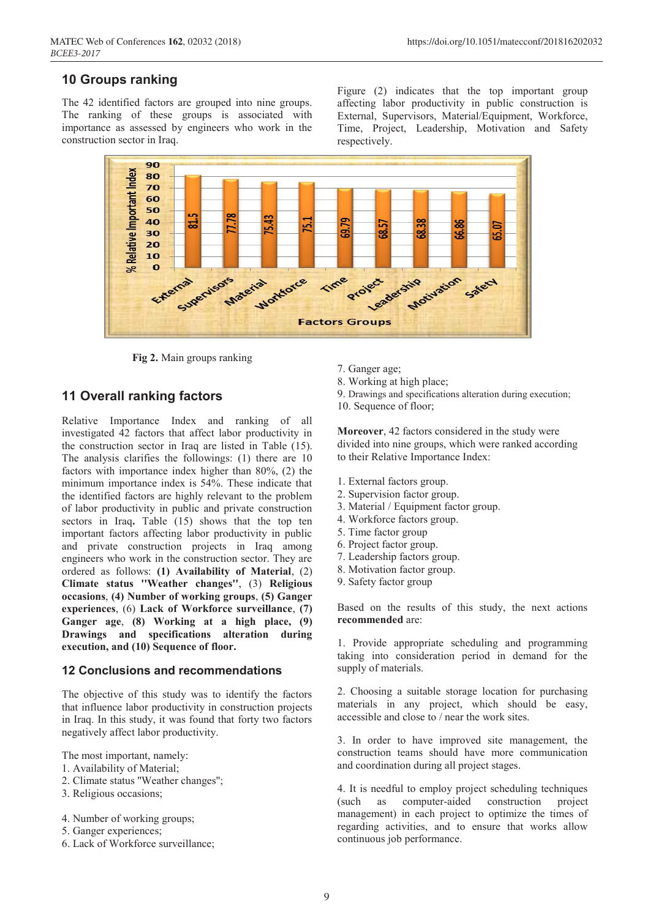## **10 Groups ranking**

The 42 identified factors are grouped into nine groups. The ranking of these groups is associated with importance as assessed by engineers who work in the construction sector in Iraq.

Figure (2) indicates that the top important group affecting labor productivity in public construction is External, Supervisors, Material/Equipment, Workforce, Time, Project, Leadership, Motivation and Safety respectively.



**Fig 2.** Main groups ranking

### **11 Overall ranking factors**

Relative Importance Index and ranking of all investigated 42 factors that affect labor productivity in the construction sector in Iraq are listed in Table (15). The analysis clarifies the followings: (1) there are 10 factors with importance index higher than 80%, (2) the minimum importance index is 54%. These indicate that the identified factors are highly relevant to the problem of labor productivity in public and private construction sectors in Iraq. Table (15) shows that the top ten important factors affecting labor productivity in public and private construction projects in Iraq among engineers who work in the construction sector. They are ordered as follows: **(1) Availability of Material**, (2) **Climate status ''Weather changes''**, (3) **Religious occasions**, **(4) Number of working groups**, **(5) Ganger experiences**, (6) **Lack of Workforce surveillance**, **(7) Ganger age**, **(8) Working at a high place, (9) Drawings and specifications alteration during execution, and (10) Sequence of floor.**

#### **12 Conclusions and recommendations**

The objective of this study was to identify the factors that influence labor productivity in construction projects in Iraq. In this study, it was found that forty two factors negatively affect labor productivity.

The most important, namely:

- 1. Availability of Material;
- 2. Climate status ''Weather changes'';
- 3. Religious occasions;
- 4. Number of working groups;
- 5. Ganger experiences;
- 6. Lack of Workforce surveillance;
- 7. Ganger age;
- 8. Working at high place;
- 9. Drawings and specifications alteration during execution;
- 10. Sequence of floor;

**Moreover**, 42 factors considered in the study were divided into nine groups, which were ranked according to their Relative Importance Index:

- 1. External factors group.
- 2. Supervision factor group.
- 3. Material / Equipment factor group.
- 4. Workforce factors group.
- 5. Time factor group
- 6. Project factor group.
- 7. Leadership factors group.
- 8. Motivation factor group.
- 9. Safety factor group

Based on the results of this study, the next actions **recommended** are:

1. Provide appropriate scheduling and programming taking into consideration period in demand for the supply of materials.

2. Choosing a suitable storage location for purchasing materials in any project, which should be easy, accessible and close to / near the work sites.

3. In order to have improved site management, the construction teams should have more communication and coordination during all project stages.

4. It is needful to employ project scheduling techniques (such as computer-aided construction project management) in each project to optimize the times of regarding activities, and to ensure that works allow continuous job performance.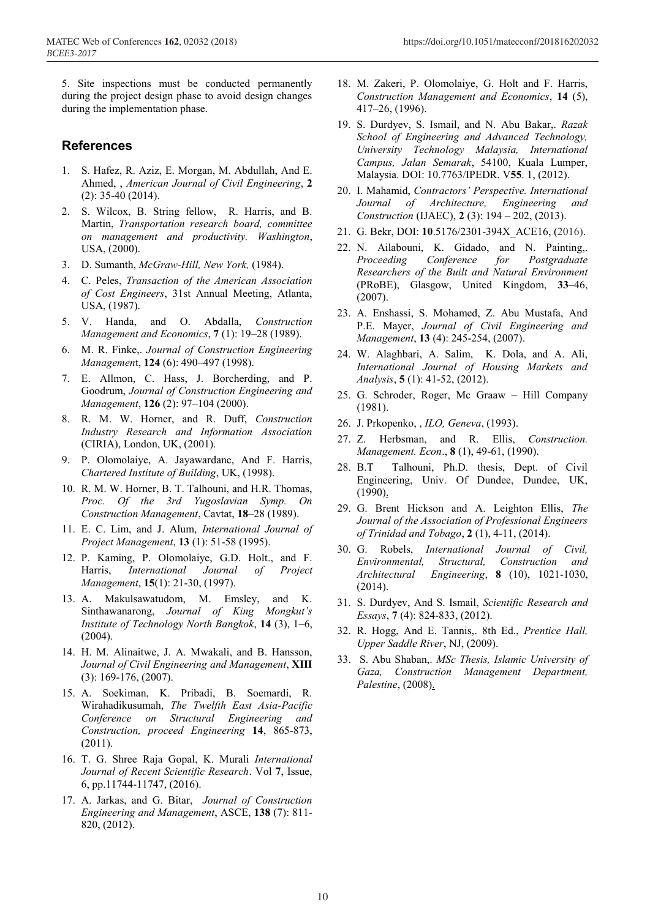## **References**

- 1. S. Hafez, R. Aziz, E. Morgan, M. Abdullah, And E. Ahmed, , *American Journal of Civil Engineering*, **2** (2): 35-40 (2014).
- 2. S. Wilcox, B. String fellow, R. Harris, and B. Martin, *Transportation research board, committee on management and productivity. Washington*, USA, (2000).
- 3. D. Sumanth, *McGraw-Hill, New York,* (1984).
- 4. C. Peles, *Transaction of the American Association of Cost Engineers*, 31st Annual Meeting, Atlanta, USA, (1987).
- 5. V. Handa, and O. Abdalla, *Construction Management and Economics*, **7** (1): 19–28 (1989).
- 6. M. R. Finke,. *Journal of Construction Engineering Managemen*t, **124** (6): 490–497 (1998).
- 7. E. Allmon, C. Hass, J. Borcherding, and P. Goodrum, *Journal of Construction Engineering and Management*, **126** (2): 97–104 (2000).
- 8. R. M. W. Horner, and R. Duff, *Construction Industry Research and Information Association* (CIRIA), London, UK, (2001).
- 9. P. Olomolaiye, A. Jayawardane, And F. Harris, *Chartered Institute of Building*, UK, (1998).
- 10. R. M. W. Horner, B. T. Talhouni, and H.R. Thomas, *Proc. Of the 3rd Yugoslavian Symp. On Construction Management*, Cavtat, **18**–28 (1989).
- 11. E. C. Lim, and J. Alum, *International Journal of Project Management*, **13** (1): 51-58 (1995).
- 12. P. Kaming, P. Olomolaiye, G.D. Holt., and F. Harris, *International Journal of Project Management*, **15**(1): 21-30, (1997).
- 13. A. Makulsawatudom, M. Emsley, and K. Sinthawanarong, *Journal of King Mongkut's Institute of Technology North Bangkok*, **14** (3), 1–6, (2004).
- 14. H. M. Alinaitwe, J. A. Mwakali, and B. Hansson, *Journal of Civil Engineering and Management*, **XIII** (3): 169-176, (2007).
- 15. A. Soekiman, K. Pribadi, B. Soemardi, R. Wirahadikusumah, *The Twelfth East Asia-Pacific Conference on Structural Engineering and Construction, proceed Engineering* **14**, 865-873, (2011).
- 16. T. G. Shree Raja Gopal, K. Murali *International Journal of Recent Scientific Research*. Vol **7**, Issue, 6, pp.11744-11747, (2016).
- 17. A. Jarkas, and G. Bitar, *Journal of Construction Engineering and Management*, ASCE, **138** (7): 811- 820, (2012).
- 18. M. Zakeri, P. Olomolaiye, G. Holt and F. Harris, *Construction Management and Economics*, **14** (5), 417–26, (1996).
- 19. S. Durdyev, S. Ismail, and N. Abu Bakar,. *Razak School of Engineering and Advanced Technology, University Technology Malaysia, International Campus, Jalan Semarak*, 54100, Kuala Lumper, Malaysia. DOI: 10.7763/IPEDR. V**55**. 1, (2012).
- 20. I. Mahamid, *Contractors' Perspective. International Journal of Architecture, Engineering and Construction* (IJAEC), **2** (3): 194 – 202, (2013).
- 21. G. Bekr, DOI: **10**.5176/2301-394X\_ACE16, (2016).
- 22. N. Ailabouni, K. Gidado, and N. Painting,. *Proceeding Conference for Postgraduate Researchers of the Built and Natural Environment* (PRoBE), Glasgow, United Kingdom, **33**–46, (2007).
- 23. A. Enshassi, S. Mohamed, Z. Abu Mustafa, And P.E. Mayer, *Journal of Civil Engineering and Management*, **13** (4): 245-254, (2007).
- 24. W. Alaghbari, A. Salim, K. Dola, and A. Ali, *International Journal of Housing Markets and Analysis*, **5** (1): 41-52, (2012).
- 25. G. Schroder, Roger, Mc Graaw Hill Company (1981).
- 26. J. Prkopenko, , *ILO, Geneva*, (1993).
- 27. Z. Herbsman, and R. Ellis, *Construction. Management. Econ*., **8** (1), 49-61, (1990).
- 28. B.T Talhouni, Ph.D. thesis, Dept. of Civil Engineering, Univ. Of Dundee, Dundee, UK,  $(1990).$
- 29. G. Brent Hickson and A. Leighton Ellis, *The Journal of the Association of Professional Engineers of Trinidad and Tobago*, **2** (1), 4-11, (2014).
- 30. G. Robels, *International Journal of Civil, Environmental, Structural, Construction and Architectural Engineering*, **8** (10), 1021-1030, (2014).
- 31. S. Durdyev, And S. Ismail, *Scientific Research and Essays*, **7** (4): 824-833, (2012).
- 32. R. Hogg, And E. Tannis,. 8th Ed., *Prentice Hall, Upper Saddle River*, NJ, (2009).
- 33. S. Abu Shaban,. *MSc Thesis, Islamic University of Gaza, Construction Management Department, Palestine*, (2008).